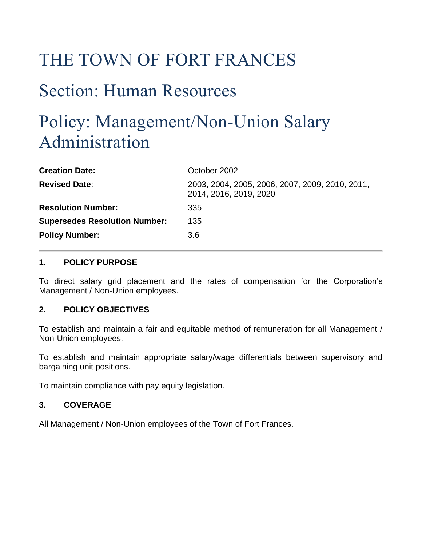# THE TOWN OF FORT FRANCES

# Section: Human Resources

# Policy: Management/Non-Union Salary Administration

| <b>Creation Date:</b>                | October 2002                                                              |
|--------------------------------------|---------------------------------------------------------------------------|
| <b>Revised Date:</b>                 | 2003, 2004, 2005, 2006, 2007, 2009, 2010, 2011,<br>2014, 2016, 2019, 2020 |
| <b>Resolution Number:</b>            | 335                                                                       |
| <b>Supersedes Resolution Number:</b> | 135                                                                       |
| <b>Policy Number:</b>                | 3.6                                                                       |

#### **1. POLICY PURPOSE**

To direct salary grid placement and the rates of compensation for the Corporation's Management / Non-Union employees.

#### **2. POLICY OBJECTIVES**

To establish and maintain a fair and equitable method of remuneration for all Management / Non-Union employees.

To establish and maintain appropriate salary/wage differentials between supervisory and bargaining unit positions.

To maintain compliance with pay equity legislation.

#### **3. COVERAGE**

All Management / Non-Union employees of the Town of Fort Frances.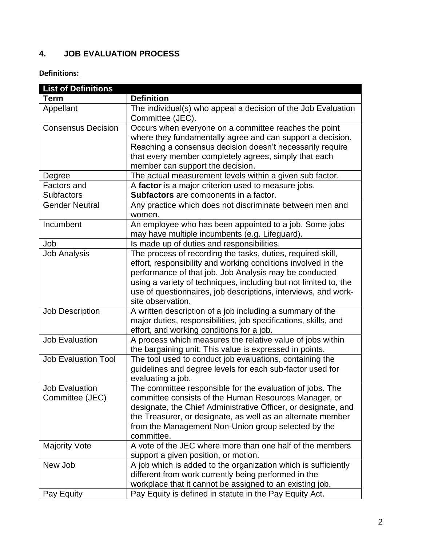## **4. JOB EVALUATION PROCESS**

## **Definitions:**

| <b>List of Definitions</b>               |                                                                                                                                                                                                                                                                                                                                                   |
|------------------------------------------|---------------------------------------------------------------------------------------------------------------------------------------------------------------------------------------------------------------------------------------------------------------------------------------------------------------------------------------------------|
| <b>Term</b>                              | <b>Definition</b>                                                                                                                                                                                                                                                                                                                                 |
| Appellant                                | The individual(s) who appeal a decision of the Job Evaluation<br>Committee (JEC).                                                                                                                                                                                                                                                                 |
| <b>Consensus Decision</b>                | Occurs when everyone on a committee reaches the point<br>where they fundamentally agree and can support a decision.<br>Reaching a consensus decision doesn't necessarily require<br>that every member completely agrees, simply that each<br>member can support the decision.                                                                     |
| Degree                                   | The actual measurement levels within a given sub factor.                                                                                                                                                                                                                                                                                          |
| Factors and                              | A factor is a major criterion used to measure jobs.                                                                                                                                                                                                                                                                                               |
| <b>Subfactors</b>                        | Subfactors are components in a factor.                                                                                                                                                                                                                                                                                                            |
| <b>Gender Neutral</b>                    | Any practice which does not discriminate between men and<br>women.                                                                                                                                                                                                                                                                                |
| Incumbent                                | An employee who has been appointed to a job. Some jobs<br>may have multiple incumbents (e.g. Lifeguard).                                                                                                                                                                                                                                          |
| Job                                      | Is made up of duties and responsibilities.                                                                                                                                                                                                                                                                                                        |
| <b>Job Analysis</b>                      | The process of recording the tasks, duties, required skill,<br>effort, responsibility and working conditions involved in the<br>performance of that job. Job Analysis may be conducted<br>using a variety of techniques, including but not limited to, the<br>use of questionnaires, job descriptions, interviews, and work-<br>site observation. |
| <b>Job Description</b>                   | A written description of a job including a summary of the<br>major duties, responsibilities, job specifications, skills, and<br>effort, and working conditions for a job.                                                                                                                                                                         |
| <b>Job Evaluation</b>                    | A process which measures the relative value of jobs within<br>the bargaining unit. This value is expressed in points.                                                                                                                                                                                                                             |
| <b>Job Evaluation Tool</b>               | The tool used to conduct job evaluations, containing the<br>guidelines and degree levels for each sub-factor used for<br>evaluating a job.                                                                                                                                                                                                        |
| <b>Job Evaluation</b><br>Committee (JEC) | The committee responsible for the evaluation of jobs. The<br>committee consists of the Human Resources Manager, or<br>designate, the Chief Administrative Officer, or designate, and<br>the Treasurer, or designate, as well as an alternate member<br>from the Management Non-Union group selected by the<br>committee.                          |
| <b>Majority Vote</b>                     | A vote of the JEC where more than one half of the members<br>support a given position, or motion.                                                                                                                                                                                                                                                 |
| New Job                                  | A job which is added to the organization which is sufficiently<br>different from work currently being performed in the<br>workplace that it cannot be assigned to an existing job.                                                                                                                                                                |
| Pay Equity                               | Pay Equity is defined in statute in the Pay Equity Act.                                                                                                                                                                                                                                                                                           |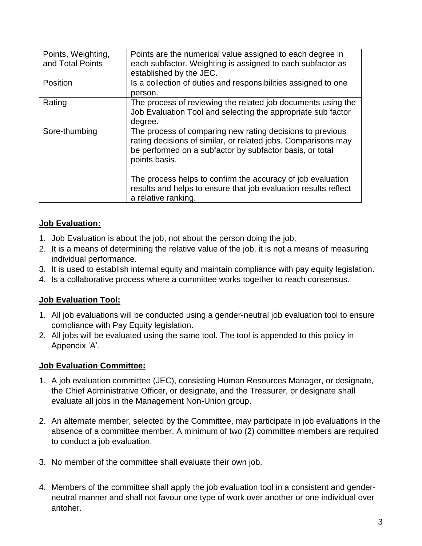| Points, Weighting,<br>and Total Points | Points are the numerical value assigned to each degree in<br>each subfactor. Weighting is assigned to each subfactor as<br>established by the JEC.                                                                                                                                                                                        |
|----------------------------------------|-------------------------------------------------------------------------------------------------------------------------------------------------------------------------------------------------------------------------------------------------------------------------------------------------------------------------------------------|
| Position                               | Is a collection of duties and responsibilities assigned to one<br>person.                                                                                                                                                                                                                                                                 |
| Rating                                 | The process of reviewing the related job documents using the<br>Job Evaluation Tool and selecting the appropriate sub factor<br>degree.                                                                                                                                                                                                   |
| Sore-thumbing                          | The process of comparing new rating decisions to previous<br>rating decisions of similar, or related jobs. Comparisons may<br>be performed on a subfactor by subfactor basis, or total<br>points basis.<br>The process helps to confirm the accuracy of job evaluation<br>results and helps to ensure that job evaluation results reflect |
|                                        | a relative ranking.                                                                                                                                                                                                                                                                                                                       |

## **Job Evaluation:**

- 1. Job Evaluation is about the job, not about the person doing the job.
- 2. It is a means of determining the relative value of the job, it is not a means of measuring individual performance.
- 3. It is used to establish internal equity and maintain compliance with pay equity legislation.
- 4. Is a collaborative process where a committee works together to reach consensus.

#### **Job Evaluation Tool:**

- 1. All job evaluations will be conducted using a gender-neutral job evaluation tool to ensure compliance with Pay Equity legislation.
- 2. All jobs will be evaluated using the same tool. The tool is appended to this policy in Appendix 'A'.

#### **Job Evaluation Committee:**

- 1. A job evaluation committee (JEC), consisting Human Resources Manager, or designate, the Chief Administrative Officer, or designate, and the Treasurer, or designate shall evaluate all jobs in the Management Non-Union group.
- 2. An alternate member, selected by the Committee, may participate in job evaluations in the absence of a committee member. A minimum of two (2) committee members are required to conduct a job evaluation.
- 3. No member of the committee shall evaluate their own job.
- 4. Members of the committee shall apply the job evaluation tool in a consistent and genderneutral manner and shall not favour one type of work over another or one individual over antoher.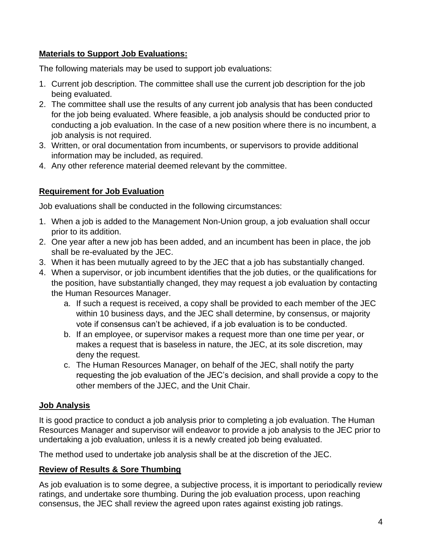### **Materials to Support Job Evaluations:**

The following materials may be used to support job evaluations:

- 1. Current job description. The committee shall use the current job description for the job being evaluated.
- 2. The committee shall use the results of any current job analysis that has been conducted for the job being evaluated. Where feasible, a job analysis should be conducted prior to conducting a job evaluation. In the case of a new position where there is no incumbent, a job analysis is not required.
- 3. Written, or oral documentation from incumbents, or supervisors to provide additional information may be included, as required.
- 4. Any other reference material deemed relevant by the committee.

### **Requirement for Job Evaluation**

Job evaluations shall be conducted in the following circumstances:

- 1. When a job is added to the Management Non-Union group, a job evaluation shall occur prior to its addition.
- 2. One year after a new job has been added, and an incumbent has been in place, the job shall be re-evaluated by the JEC.
- 3. When it has been mutually agreed to by the JEC that a job has substantially changed.
- 4. When a supervisor, or job incumbent identifies that the job duties, or the qualifications for the position, have substantially changed, they may request a job evaluation by contacting the Human Resources Manager.
	- a. If such a request is received, a copy shall be provided to each member of the JEC within 10 business days, and the JEC shall determine, by consensus, or majority vote if consensus can't be achieved, if a job evaluation is to be conducted.
	- b. If an employee, or supervisor makes a request more than one time per year, or makes a request that is baseless in nature, the JEC, at its sole discretion, may deny the request.
	- c. The Human Resources Manager, on behalf of the JEC, shall notify the party requesting the job evaluation of the JEC's decision, and shall provide a copy to the other members of the JJEC, and the Unit Chair.

## **Job Analysis**

It is good practice to conduct a job analysis prior to completing a job evaluation. The Human Resources Manager and supervisor will endeavor to provide a job analysis to the JEC prior to undertaking a job evaluation, unless it is a newly created job being evaluated.

The method used to undertake job analysis shall be at the discretion of the JEC.

## **Review of Results & Sore Thumbing**

As job evaluation is to some degree, a subjective process, it is important to periodically review ratings, and undertake sore thumbing. During the job evaluation process, upon reaching consensus, the JEC shall review the agreed upon rates against existing job ratings.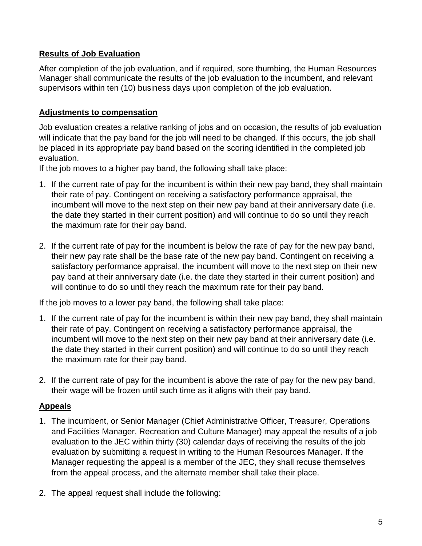### **Results of Job Evaluation**

After completion of the job evaluation, and if required, sore thumbing, the Human Resources Manager shall communicate the results of the job evaluation to the incumbent, and relevant supervisors within ten (10) business days upon completion of the job evaluation.

#### **Adjustments to compensation**

Job evaluation creates a relative ranking of jobs and on occasion, the results of job evaluation will indicate that the pay band for the job will need to be changed. If this occurs, the job shall be placed in its appropriate pay band based on the scoring identified in the completed job evaluation.

If the job moves to a higher pay band, the following shall take place:

- 1. If the current rate of pay for the incumbent is within their new pay band, they shall maintain their rate of pay. Contingent on receiving a satisfactory performance appraisal, the incumbent will move to the next step on their new pay band at their anniversary date (i.e. the date they started in their current position) and will continue to do so until they reach the maximum rate for their pay band.
- 2. If the current rate of pay for the incumbent is below the rate of pay for the new pay band, their new pay rate shall be the base rate of the new pay band. Contingent on receiving a satisfactory performance appraisal, the incumbent will move to the next step on their new pay band at their anniversary date (i.e. the date they started in their current position) and will continue to do so until they reach the maximum rate for their pay band.

If the job moves to a lower pay band, the following shall take place:

- 1. If the current rate of pay for the incumbent is within their new pay band, they shall maintain their rate of pay. Contingent on receiving a satisfactory performance appraisal, the incumbent will move to the next step on their new pay band at their anniversary date (i.e. the date they started in their current position) and will continue to do so until they reach the maximum rate for their pay band.
- 2. If the current rate of pay for the incumbent is above the rate of pay for the new pay band, their wage will be frozen until such time as it aligns with their pay band.

## **Appeals**

- 1. The incumbent, or Senior Manager (Chief Administrative Officer, Treasurer, Operations and Facilities Manager, Recreation and Culture Manager) may appeal the results of a job evaluation to the JEC within thirty (30) calendar days of receiving the results of the job evaluation by submitting a request in writing to the Human Resources Manager. If the Manager requesting the appeal is a member of the JEC, they shall recuse themselves from the appeal process, and the alternate member shall take their place.
- 2. The appeal request shall include the following: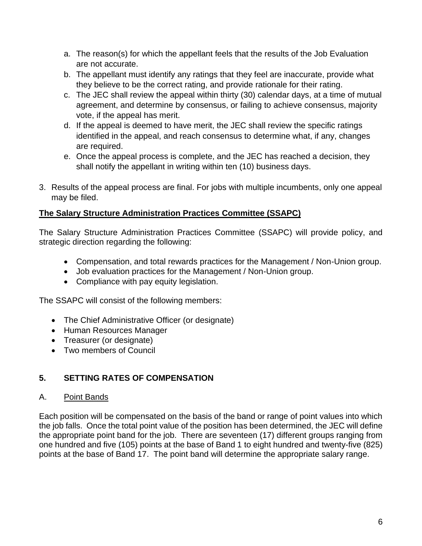- a. The reason(s) for which the appellant feels that the results of the Job Evaluation are not accurate.
- b. The appellant must identify any ratings that they feel are inaccurate, provide what they believe to be the correct rating, and provide rationale for their rating.
- c. The JEC shall review the appeal within thirty (30) calendar days, at a time of mutual agreement, and determine by consensus, or failing to achieve consensus, majority vote, if the appeal has merit.
- d. If the appeal is deemed to have merit, the JEC shall review the specific ratings identified in the appeal, and reach consensus to determine what, if any, changes are required.
- e. Once the appeal process is complete, and the JEC has reached a decision, they shall notify the appellant in writing within ten (10) business days.
- 3. Results of the appeal process are final. For jobs with multiple incumbents, only one appeal may be filed.

## **The Salary Structure Administration Practices Committee (SSAPC)**

The Salary Structure Administration Practices Committee (SSAPC) will provide policy, and strategic direction regarding the following:

- Compensation, and total rewards practices for the Management / Non-Union group.
- Job evaluation practices for the Management / Non-Union group.
- Compliance with pay equity legislation.

The SSAPC will consist of the following members:

- The Chief Administrative Officer (or designate)
- Human Resources Manager
- Treasurer (or designate)
- Two members of Council

## **5. SETTING RATES OF COMPENSATION**

#### A. Point Bands

Each position will be compensated on the basis of the band or range of point values into which the job falls. Once the total point value of the position has been determined, the JEC will define the appropriate point band for the job. There are seventeen (17) different groups ranging from one hundred and five (105) points at the base of Band 1 to eight hundred and twenty-five (825) points at the base of Band 17. The point band will determine the appropriate salary range.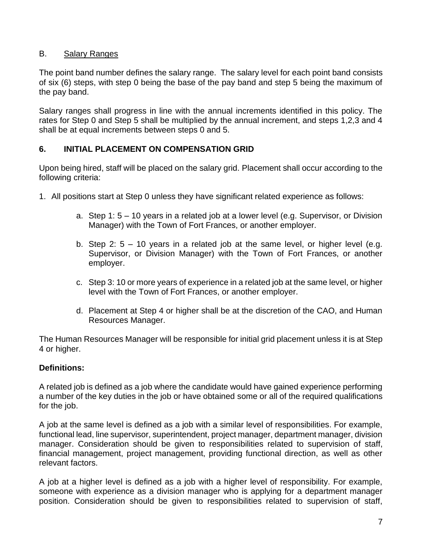#### B. Salary Ranges

The point band number defines the salary range. The salary level for each point band consists of six (6) steps, with step 0 being the base of the pay band and step 5 being the maximum of the pay band.

Salary ranges shall progress in line with the annual increments identified in this policy. The rates for Step 0 and Step 5 shall be multiplied by the annual increment, and steps 1,2,3 and 4 shall be at equal increments between steps 0 and 5.

### **6. INITIAL PLACEMENT ON COMPENSATION GRID**

Upon being hired, staff will be placed on the salary grid. Placement shall occur according to the following criteria:

- 1. All positions start at Step 0 unless they have significant related experience as follows:
	- a. Step 1: 5 10 years in a related job at a lower level (e.g. Supervisor, or Division Manager) with the Town of Fort Frances, or another employer.
	- b. Step 2: 5 10 years in a related job at the same level, or higher level (e.g. Supervisor, or Division Manager) with the Town of Fort Frances, or another employer.
	- c. Step 3: 10 or more years of experience in a related job at the same level, or higher level with the Town of Fort Frances, or another employer.
	- d. Placement at Step 4 or higher shall be at the discretion of the CAO, and Human Resources Manager.

The Human Resources Manager will be responsible for initial grid placement unless it is at Step 4 or higher.

#### **Definitions:**

A related job is defined as a job where the candidate would have gained experience performing a number of the key duties in the job or have obtained some or all of the required qualifications for the job.

A job at the same level is defined as a job with a similar level of responsibilities. For example, functional lead, line supervisor, superintendent, project manager, department manager, division manager. Consideration should be given to responsibilities related to supervision of staff, financial management, project management, providing functional direction, as well as other relevant factors.

A job at a higher level is defined as a job with a higher level of responsibility. For example, someone with experience as a division manager who is applying for a department manager position. Consideration should be given to responsibilities related to supervision of staff,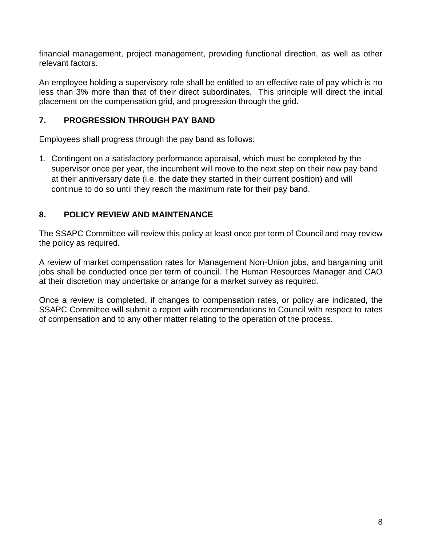financial management, project management, providing functional direction, as well as other relevant factors.

An employee holding a supervisory role shall be entitled to an effective rate of pay which is no less than 3% more than that of their direct subordinates. This principle will direct the initial placement on the compensation grid, and progression through the grid.

### **7. PROGRESSION THROUGH PAY BAND**

Employees shall progress through the pay band as follows:

1. Contingent on a satisfactory performance appraisal, which must be completed by the supervisor once per year, the incumbent will move to the next step on their new pay band at their anniversary date (i.e. the date they started in their current position) and will continue to do so until they reach the maximum rate for their pay band.

## **8. POLICY REVIEW AND MAINTENANCE**

The SSAPC Committee will review this policy at least once per term of Council and may review the policy as required.

A review of market compensation rates for Management Non-Union jobs, and bargaining unit jobs shall be conducted once per term of council. The Human Resources Manager and CAO at their discretion may undertake or arrange for a market survey as required.

Once a review is completed, if changes to compensation rates, or policy are indicated, the SSAPC Committee will submit a report with recommendations to Council with respect to rates of compensation and to any other matter relating to the operation of the process.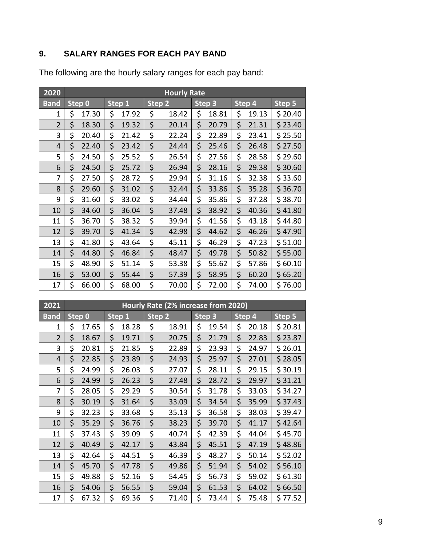# **9. SALARY RANGES FOR EACH PAY BAND**

| 2020           | <b>Hourly Rate</b> |        |    |        |                   |       |                   |       |        |       |         |
|----------------|--------------------|--------|----|--------|-------------------|-------|-------------------|-------|--------|-------|---------|
| <b>Band</b>    |                    | Step 0 |    | Step 1 | Step <sub>2</sub> |       | Step <sub>3</sub> |       | Step 4 |       | Step 5  |
| 1              | \$                 | 17.30  | \$ | 17.92  | \$                | 18.42 | \$                | 18.81 | \$     | 19.13 | \$20.40 |
| $\overline{2}$ | \$                 | 18.30  | \$ | 19.32  | \$                | 20.14 | \$                | 20.79 | \$     | 21.31 | \$23.40 |
| 3              | \$                 | 20.40  | \$ | 21.42  | \$                | 22.24 | \$                | 22.89 | \$     | 23.41 | \$25.50 |
| 4              | \$                 | 22.40  | \$ | 23.42  | \$                | 24.44 | \$                | 25.46 | \$     | 26.48 | \$27.50 |
| 5              | \$                 | 24.50  | \$ | 25.52  | \$                | 26.54 | \$                | 27.56 | \$     | 28.58 | \$29.60 |
| 6              | \$                 | 24.50  | \$ | 25.72  | \$                | 26.94 | \$                | 28.16 | \$     | 29.38 | \$30.60 |
| 7              | \$                 | 27.50  | \$ | 28.72  | \$                | 29.94 | \$                | 31.16 | \$     | 32.38 | \$33.60 |
| 8              | \$                 | 29.60  | \$ | 31.02  | \$                | 32.44 | \$                | 33.86 | \$     | 35.28 | \$36.70 |
| 9              | \$                 | 31.60  | \$ | 33.02  | \$                | 34.44 | \$                | 35.86 | \$     | 37.28 | \$38.70 |
| 10             | \$                 | 34.60  | \$ | 36.04  | \$                | 37.48 | \$                | 38.92 | \$     | 40.36 | \$41.80 |
| 11             | \$                 | 36.70  | \$ | 38.32  | \$                | 39.94 | \$                | 41.56 | \$     | 43.18 | \$44.80 |
| 12             | \$                 | 39.70  | \$ | 41.34  | \$                | 42.98 | \$                | 44.62 | \$     | 46.26 | \$47.90 |
| 13             | \$                 | 41.80  | \$ | 43.64  | \$                | 45.11 | \$                | 46.29 | \$     | 47.23 | \$51.00 |
| 14             | \$                 | 44.80  | \$ | 46.84  | \$                | 48.47 | \$                | 49.78 | \$     | 50.82 | \$55.00 |
| 15             | \$                 | 48.90  | \$ | 51.14  | \$                | 53.38 | \$                | 55.62 | \$     | 57.86 | \$60.10 |
| 16             | \$                 | 53.00  | \$ | 55.44  | \$                | 57.39 | \$                | 58.95 | \$     | 60.20 | \$65.20 |
| 17             | \$                 | 66.00  | \$ | 68.00  | \$                | 70.00 | \$                | 72.00 | \$     | 74.00 | \$76.00 |

The following are the hourly salary ranges for each pay band:

| 2021           | Hourly Rate (2% increase from 2020) |        |        |       |        |       |        |       |        |       |         |
|----------------|-------------------------------------|--------|--------|-------|--------|-------|--------|-------|--------|-------|---------|
| <b>Band</b>    |                                     | Step 0 | Step 1 |       | Step 2 |       | Step 3 |       | Step 4 |       | Step 5  |
| 1              | \$                                  | 17.65  | \$     | 18.28 | \$     | 18.91 | \$     | 19.54 | \$     | 20.18 | \$20.81 |
| $\overline{2}$ | \$                                  | 18.67  | \$     | 19.71 | \$     | 20.75 | \$     | 21.79 | \$     | 22.83 | \$23.87 |
| 3              | \$                                  | 20.81  | \$     | 21.85 | \$     | 22.89 | \$     | 23.93 | \$     | 24.97 | \$26.01 |
| $\overline{4}$ | \$                                  | 22.85  | \$     | 23.89 | \$     | 24.93 | \$     | 25.97 | \$     | 27.01 | \$28.05 |
| 5              | \$                                  | 24.99  | \$     | 26.03 | \$     | 27.07 | \$     | 28.11 | \$     | 29.15 | \$30.19 |
| 6              | \$                                  | 24.99  | \$     | 26.23 | \$     | 27.48 | \$     | 28.72 | \$     | 29.97 | \$31.21 |
| 7              | \$                                  | 28.05  | \$     | 29.29 | \$     | 30.54 | \$     | 31.78 | \$     | 33.03 | \$34.27 |
| 8              | \$                                  | 30.19  | \$     | 31.64 | \$     | 33.09 | \$     | 34.54 | \$     | 35.99 | \$37.43 |
| 9              | \$                                  | 32.23  | \$     | 33.68 | \$     | 35.13 | \$     | 36.58 | \$     | 38.03 | \$39.47 |
| 10             | \$                                  | 35.29  | \$     | 36.76 | \$     | 38.23 | \$     | 39.70 | \$     | 41.17 | \$42.64 |
| 11             | \$                                  | 37.43  | \$     | 39.09 | \$     | 40.74 | \$     | 42.39 | \$     | 44.04 | \$45.70 |
| 12             | \$                                  | 40.49  | \$     | 42.17 | \$     | 43.84 | \$     | 45.51 | \$     | 47.19 | \$48.86 |
| 13             | \$                                  | 42.64  | \$     | 44.51 | \$     | 46.39 | \$     | 48.27 | \$     | 50.14 | \$52.02 |
| 14             | \$                                  | 45.70  | \$     | 47.78 | \$     | 49.86 | \$     | 51.94 | \$     | 54.02 | \$56.10 |
| 15             | \$                                  | 49.88  | \$     | 52.16 | \$     | 54.45 | \$     | 56.73 | \$     | 59.02 | \$61.30 |
| 16             | \$                                  | 54.06  | \$     | 56.55 | \$     | 59.04 | \$     | 61.53 | \$     | 64.02 | \$66.50 |
| 17             | \$                                  | 67.32  | \$     | 69.36 | \$     | 71.40 | \$     | 73.44 | \$     | 75.48 | \$77.52 |